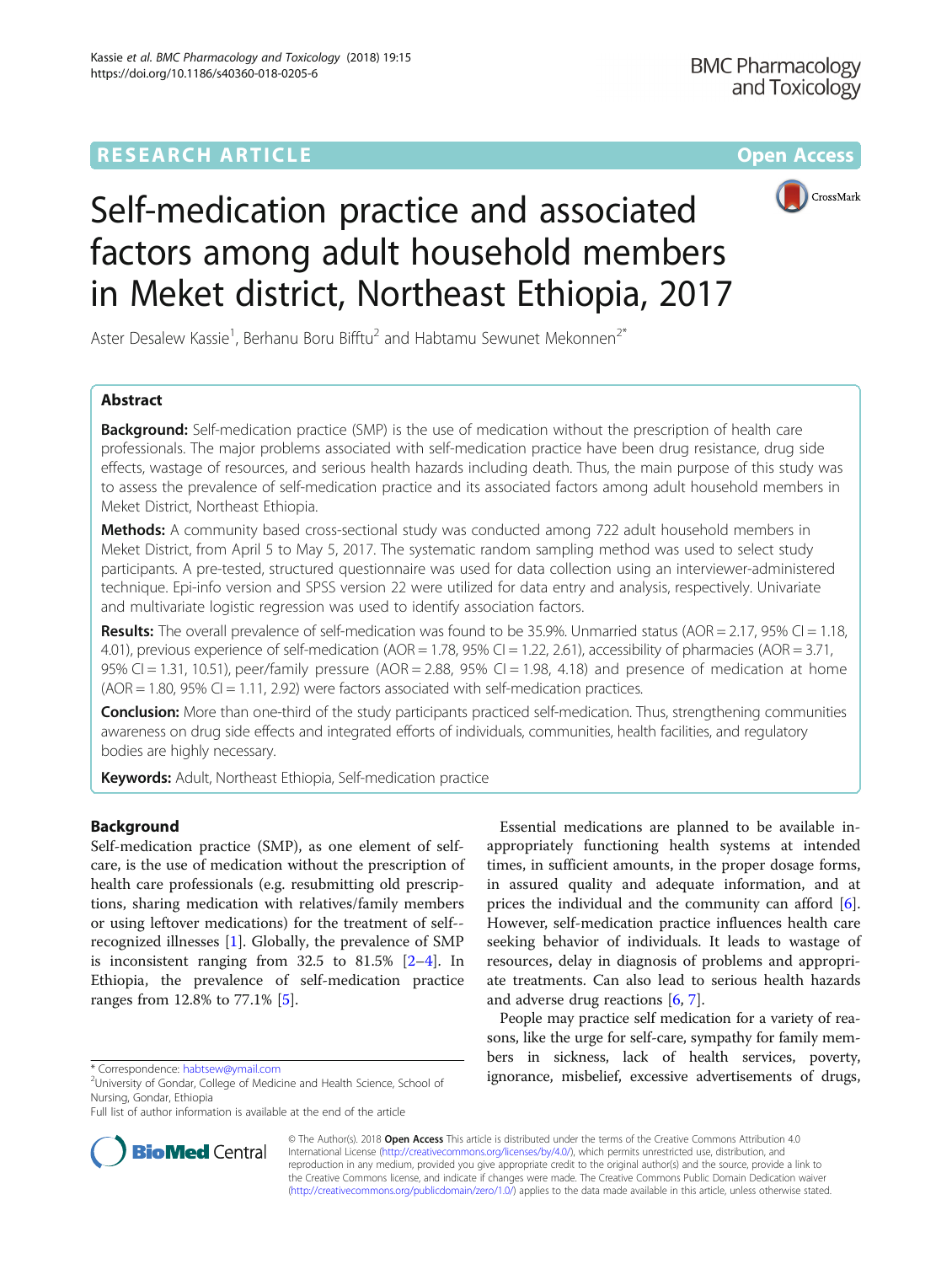## **RESEARCH ARTICLE External Structure Community Community Community Community Community Community Community Community**



# Self-medication practice and associated factors among adult household members in Meket district, Northeast Ethiopia, 2017

Aster Desalew Kassie<sup>1</sup>, Berhanu Boru Bifftu<sup>2</sup> and Habtamu Sewunet Mekonnen<sup>2\*</sup>

## Abstract

**Background:** Self-medication practice (SMP) is the use of medication without the prescription of health care professionals. The major problems associated with self-medication practice have been drug resistance, drug side effects, wastage of resources, and serious health hazards including death. Thus, the main purpose of this study was to assess the prevalence of self-medication practice and its associated factors among adult household members in Meket District, Northeast Ethiopia.

Methods: A community based cross-sectional study was conducted among 722 adult household members in Meket District, from April 5 to May 5, 2017. The systematic random sampling method was used to select study participants. A pre-tested, structured questionnaire was used for data collection using an interviewer-administered technique. Epi-info version and SPSS version 22 were utilized for data entry and analysis, respectively. Univariate and multivariate logistic regression was used to identify association factors.

Results: The overall prevalence of self-medication was found to be 35.9%. Unmarried status (AOR = 2.17, 95% CI = 1.18, 4.01), previous experience of self-medication (AOR = 1.78, 95% CI = 1.22, 2.61), accessibility of pharmacies (AOR = 3.71, 95% CI = 1.31, 10.51), peer/family pressure (AOR = 2.88, 95% CI = 1.98, 4.18) and presence of medication at home  $(AOR = 1.80, 95\% CI = 1.11, 2.92)$  were factors associated with self-medication practices.

Conclusion: More than one-third of the study participants practiced self-medication. Thus, strengthening communities awareness on drug side effects and integrated efforts of individuals, communities, health facilities, and regulatory bodies are highly necessary.

Keywords: Adult, Northeast Ethiopia, Self-medication practice

## Background

Self-medication practice (SMP), as one element of selfcare, is the use of medication without the prescription of health care professionals (e.g. resubmitting old prescriptions, sharing medication with relatives/family members or using leftover medications) for the treatment of self- recognized illnesses [[1\]](#page-6-0). Globally, the prevalence of SMP is inconsistent ranging from  $32.5$  to  $81.5\%$  [\[2](#page-6-0)-[4\]](#page-6-0). In Ethiopia, the prevalence of self-medication practice ranges from 12.8% to 77.1% [[5](#page-6-0)].

<sup>2</sup>University of Gondar, College of Medicine and Health Science, School of Nursing, Gondar, Ethiopia



People may practice self medication for a variety of reasons, like the urge for self-care, sympathy for family members in sickness, lack of health services, poverty, \* Correspondence: [habtsew@ymail.com](mailto:habtsew@ymail.com) **and the set of the set of drugs,** *ignorance*, *misbelief*, excessive advertisements of drugs,



© The Author(s). 2018 Open Access This article is distributed under the terms of the Creative Commons Attribution 4.0 International License [\(http://creativecommons.org/licenses/by/4.0/](http://creativecommons.org/licenses/by/4.0/)), which permits unrestricted use, distribution, and reproduction in any medium, provided you give appropriate credit to the original author(s) and the source, provide a link to the Creative Commons license, and indicate if changes were made. The Creative Commons Public Domain Dedication waiver [\(http://creativecommons.org/publicdomain/zero/1.0/](http://creativecommons.org/publicdomain/zero/1.0/)) applies to the data made available in this article, unless otherwise stated.

Full list of author information is available at the end of the article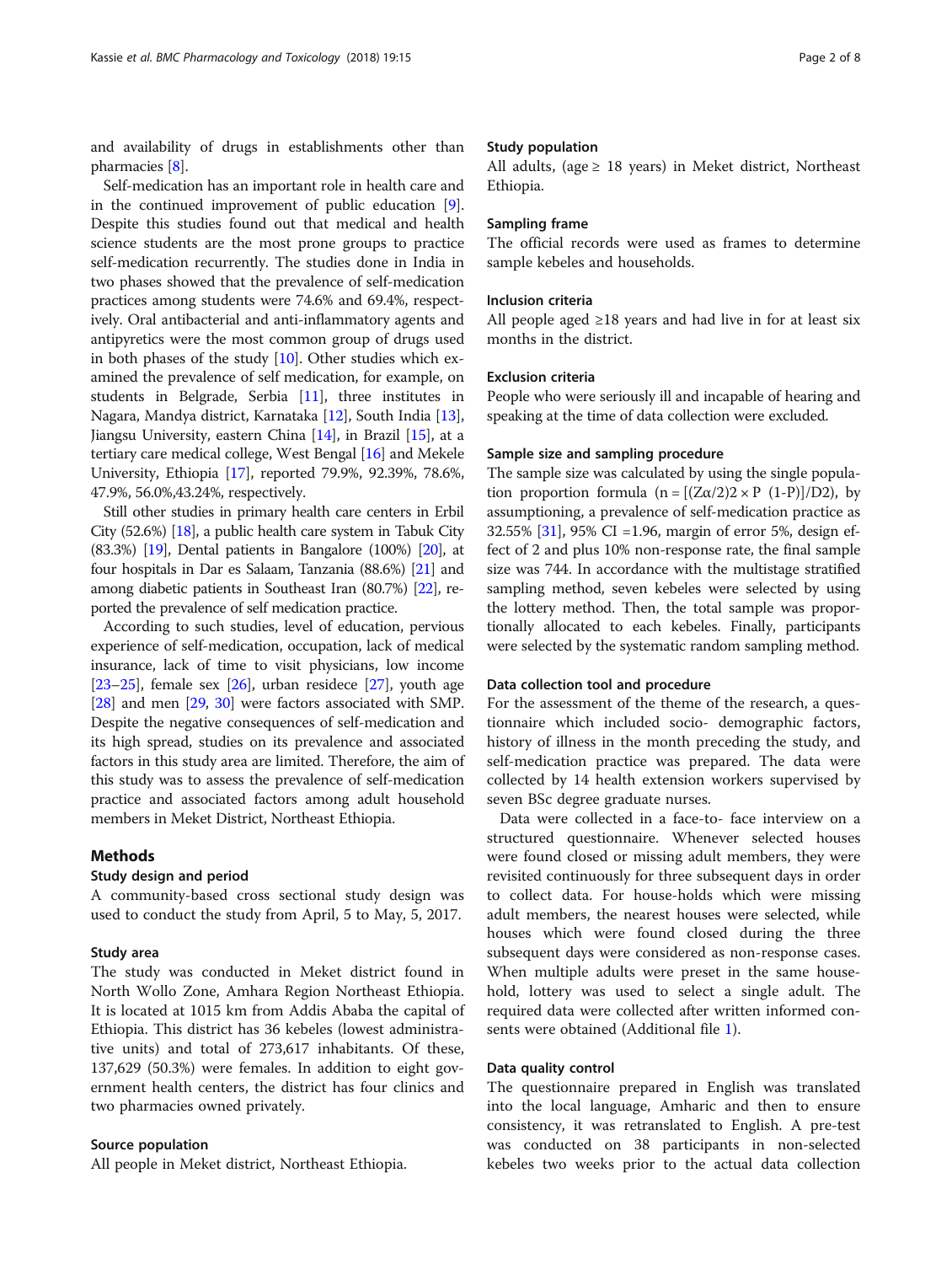and availability of drugs in establishments other than pharmacies [[8\]](#page-6-0).

Self-medication has an important role in health care and in the continued improvement of public education [[9](#page-6-0)]. Despite this studies found out that medical and health science students are the most prone groups to practice self-medication recurrently. The studies done in India in two phases showed that the prevalence of self-medication practices among students were 74.6% and 69.4%, respectively. Oral antibacterial and anti-inflammatory agents and antipyretics were the most common group of drugs used in both phases of the study  $[10]$  $[10]$ . Other studies which examined the prevalence of self medication, for example, on students in Belgrade, Serbia [\[11\]](#page-6-0), three institutes in Nagara, Mandya district, Karnataka [\[12\]](#page-6-0), South India [[13](#page-6-0)], Jiangsu University, eastern China [[14\]](#page-6-0), in Brazil [[15\]](#page-6-0), at a tertiary care medical college, West Bengal [[16](#page-6-0)] and Mekele University, Ethiopia [\[17\]](#page-6-0), reported 79.9%, 92.39%, 78.6%, 47.9%, 56.0%,43.24%, respectively.

Still other studies in primary health care centers in Erbil City (52.6%) [\[18\]](#page-6-0), a public health care system in Tabuk City (83.3%) [[19\]](#page-6-0), Dental patients in Bangalore (100%) [[20](#page-6-0)], at four hospitals in Dar es Salaam, Tanzania (88.6%) [\[21\]](#page-6-0) and among diabetic patients in Southeast Iran (80.7%) [[22\]](#page-6-0), reported the prevalence of self medication practice.

According to such studies, level of education, pervious experience of self-medication, occupation, lack of medical insurance, lack of time to visit physicians, low income [[23](#page-6-0)–[25\]](#page-6-0), female sex  $[26]$  $[26]$  $[26]$ , urban residece  $[27]$ , youth age [[28](#page-6-0)] and men [\[29,](#page-6-0) [30](#page-6-0)] were factors associated with SMP. Despite the negative consequences of self-medication and its high spread, studies on its prevalence and associated factors in this study area are limited. Therefore, the aim of this study was to assess the prevalence of self-medication practice and associated factors among adult household members in Meket District, Northeast Ethiopia.

#### Methods

#### Study design and period

A community-based cross sectional study design was used to conduct the study from April, 5 to May, 5, 2017.

#### Study area

The study was conducted in Meket district found in North Wollo Zone, Amhara Region Northeast Ethiopia. It is located at 1015 km from Addis Ababa the capital of Ethiopia. This district has 36 kebeles (lowest administrative units) and total of 273,617 inhabitants. Of these, 137,629 (50.3%) were females. In addition to eight government health centers, the district has four clinics and two pharmacies owned privately.

#### Source population

All people in Meket district, Northeast Ethiopia.

#### Study population

All adults, (age  $\geq$  18 years) in Meket district, Northeast Ethiopia.

#### Sampling frame

The official records were used as frames to determine sample kebeles and households.

#### Inclusion criteria

All people aged  $\geq 18$  years and had live in for at least six months in the district.

#### Exclusion criteria

People who were seriously ill and incapable of hearing and speaking at the time of data collection were excluded.

#### Sample size and sampling procedure

The sample size was calculated by using the single population proportion formula (n =  $[(Z\alpha/2)2 \times P (1-P)]/D2$ ), by assumptioning, a prevalence of self-medication practice as 32.55% [\[31\]](#page-6-0), 95% CI =1.96, margin of error 5%, design effect of 2 and plus 10% non-response rate, the final sample size was 744. In accordance with the multistage stratified sampling method, seven kebeles were selected by using the lottery method. Then, the total sample was proportionally allocated to each kebeles. Finally, participants were selected by the systematic random sampling method.

#### Data collection tool and procedure

For the assessment of the theme of the research, a questionnaire which included socio- demographic factors, history of illness in the month preceding the study, and self-medication practice was prepared. The data were collected by 14 health extension workers supervised by seven BSc degree graduate nurses.

Data were collected in a face-to- face interview on a structured questionnaire. Whenever selected houses were found closed or missing adult members, they were revisited continuously for three subsequent days in order to collect data. For house-holds which were missing adult members, the nearest houses were selected, while houses which were found closed during the three subsequent days were considered as non-response cases. When multiple adults were preset in the same household, lottery was used to select a single adult. The required data were collected after written informed consents were obtained (Additional file [1](#page-5-0)).

#### Data quality control

The questionnaire prepared in English was translated into the local language, Amharic and then to ensure consistency, it was retranslated to English. A pre-test was conducted on 38 participants in non-selected kebeles two weeks prior to the actual data collection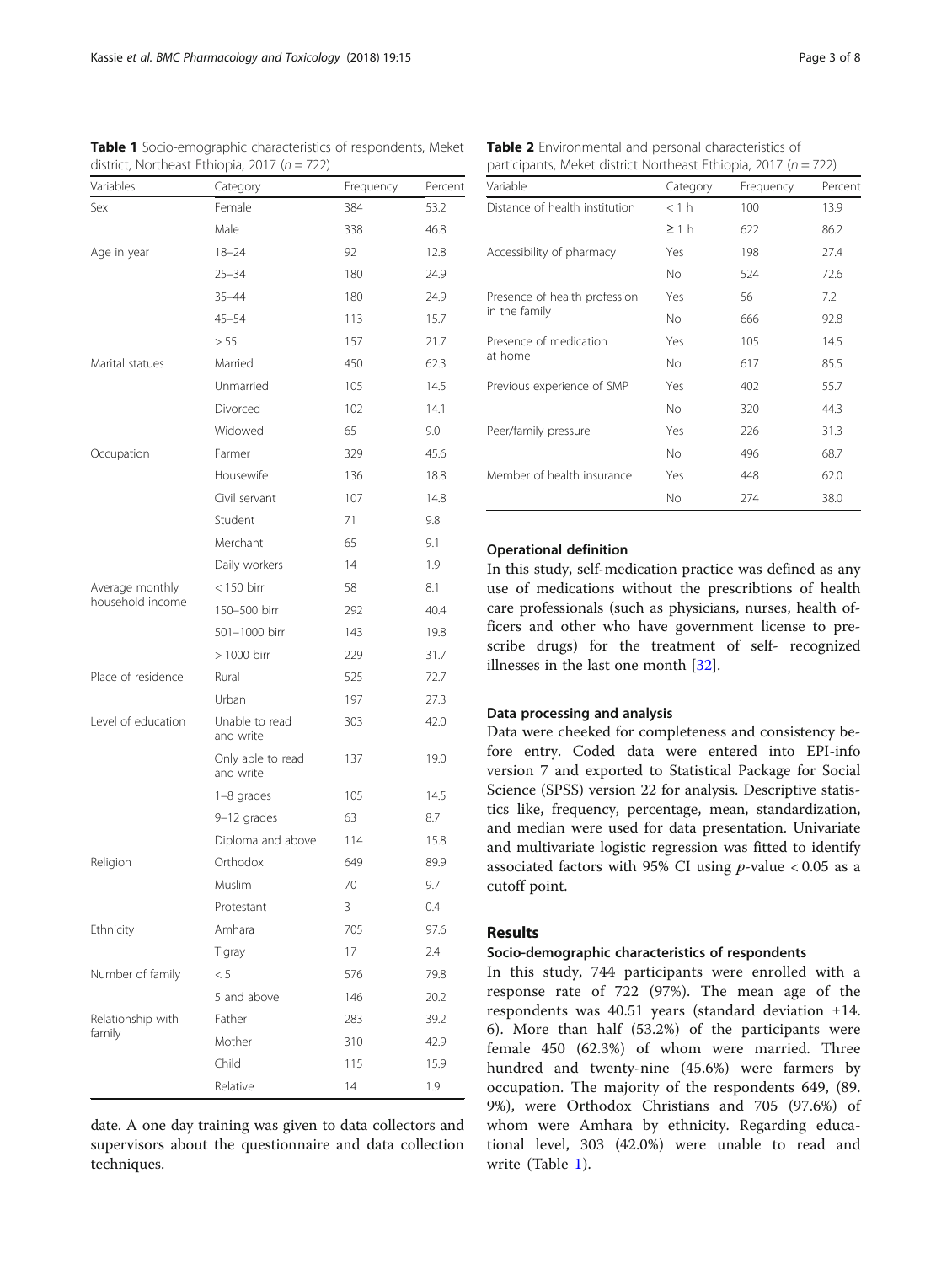| Page 3 of 8 |  |  |
|-------------|--|--|
|             |  |  |

| Variables          | Category                       | Frequency | Percent |
|--------------------|--------------------------------|-----------|---------|
| Sex                | Female                         | 384       | 53.2    |
|                    | Male                           | 338       | 46.8    |
| Age in year        | $18 - 24$                      | 92        | 12.8    |
|                    | $25 - 34$                      | 180       | 24.9    |
|                    | $35 - 44$                      | 180       | 24.9    |
|                    | $45 - 54$                      | 113       | 15.7    |
|                    | > 55                           | 157       | 21.7    |
| Marital statues    | Married                        | 450       | 62.3    |
|                    | Unmarried                      | 105       | 14.5    |
|                    | Divorced                       | 102       | 14.1    |
|                    | Widowed                        | 65        | 9.0     |
| Occupation         | Farmer                         | 329       | 45.6    |
|                    | Housewife                      | 136       | 18.8    |
|                    | Civil servant                  | 107       | 14.8    |
|                    | Student                        | 71        | 9.8     |
|                    | Merchant                       | 65        | 9.1     |
|                    | Daily workers                  | 14        | 1.9     |
| Average monthly    | $<$ 150 birr                   | 58        | 8.1     |
| household income   | 150-500 birr                   | 292       | 40.4    |
|                    | 501-1000 birr                  | 143       | 19.8    |
|                    | $>1000$ birr                   | 229       | 31.7    |
| Place of residence | Rural                          | 525       | 72.7    |
|                    | Urban                          | 197       | 27.3    |
| Level of education | Unable to read<br>and write    | 303       | 42.0    |
|                    | Only able to read<br>and write | 137       | 19.0    |
|                    | $1-8$ grades                   | 105       | 14.5    |
|                    | 9-12 grades                    | 63        | 8.7     |
|                    | Diploma and above              | 114       | 15.8    |
| Religion           | Orthodox                       | 649       | 89.9    |
|                    | Muslim                         | 70        | 9.7     |
|                    | Protestant                     | 3         | 0.4     |
| Ethnicity          | Amhara                         | 705       | 97.6    |
|                    | Tigray                         | 17        | 2.4     |
| Number of family   | < 5                            | 576       | 79.8    |
|                    | 5 and above                    | 146       | 20.2    |
| Relationship with  | Father                         | 283       | 39.2    |
| family             | Mother                         | 310       | 42.9    |
|                    | Child                          | 115       | 15.9    |
|                    | Relative                       | 14        | 1.9     |

<span id="page-2-0"></span>Table 1 Socio-emographic characteristics of respondents, Meket district, Northeast Ethiopia, 2017 ( $n = 722$ )

date. A one day training was given to data collectors and supervisors about the questionnaire and data collection techniques.

| Variable                                       | Category   | Frequency | Percent |
|------------------------------------------------|------------|-----------|---------|
| Distance of health institution                 | $<$ 1 h    | 100       | 13.9    |
|                                                | $\geq 1$ h | 622       | 86.2    |
| Accessibility of pharmacy                      | Yes        | 198       | 27.4    |
|                                                | No.        | 524       | 72.6    |
| Presence of health profession<br>in the family | Yes        | 56        | 7.2     |
|                                                | No         | 666       | 92.8    |
| Presence of medication<br>at home              | Yes        | 105       | 14.5    |
|                                                | No         | 617       | 85.5    |
| Previous experience of SMP                     | Yes        | 402       | 55.7    |
|                                                | No.        | 320       | 44.3    |
| Peer/family pressure                           | Yes        | 226       | 31.3    |
|                                                | No         | 496       | 68.7    |
| Member of health insurance                     | Yes        | 448       | 62.0    |
|                                                | No         | 274       | 38.0    |

## Table 2 Environmental and personal characteristics of

## Operational definition

In this study, self-medication practice was defined as any use of medications without the prescribtions of health care professionals (such as physicians, nurses, health officers and other who have government license to prescribe drugs) for the treatment of self- recognized illnesses in the last one month [[32\]](#page-6-0).

### Data processing and analysis

Data were cheeked for completeness and consistency before entry. Coded data were entered into EPI-info version 7 and exported to Statistical Package for Social Science (SPSS) version 22 for analysis. Descriptive statistics like, frequency, percentage, mean, standardization, and median were used for data presentation. Univariate and multivariate logistic regression was fitted to identify associated factors with 95% CI using  $p$ -value < 0.05 as a cutoff point.

## Results

## Socio-demographic characteristics of respondents

In this study, 744 participants were enrolled with a response rate of 722 (97%). The mean age of the respondents was 40.51 years (standard deviation ±14. 6). More than half (53.2%) of the participants were female 450 (62.3%) of whom were married. Three hundred and twenty-nine (45.6%) were farmers by occupation. The majority of the respondents 649, (89. 9%), were Orthodox Christians and 705 (97.6%) of whom were Amhara by ethnicity. Regarding educational level, 303 (42.0%) were unable to read and write (Table 1).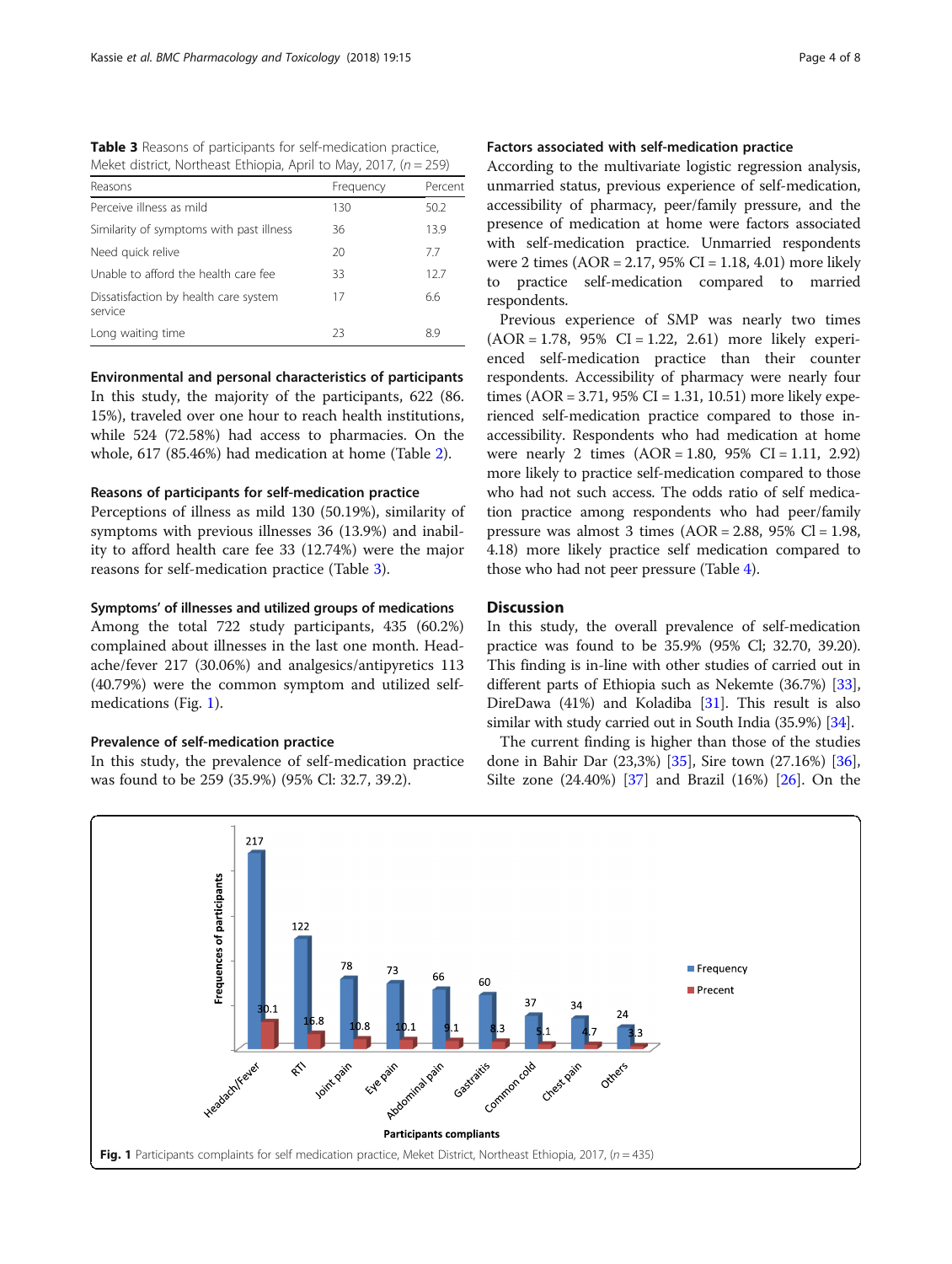Table 3 Reasons of participants for self-medication practice, Meket district, Northeast Ethiopia, April to May, 2017, ( $n = 259$ )

| Reasons                                          | Frequency | Percent |
|--------------------------------------------------|-----------|---------|
| Perceive illness as mild                         | 130       | 50.2    |
| Similarity of symptoms with past illness         | 36        | 13.9    |
| Need quick relive                                | 20        | 77      |
| Unable to afford the health care fee             | 33        | 12.7    |
| Dissatisfaction by health care system<br>service | 17        | 6.6     |
| Long waiting time                                | 23        | 8.9     |

Environmental and personal characteristics of participants In this study, the majority of the participants, 622 (86. 15%), traveled over one hour to reach health institutions, while 524 (72.58%) had access to pharmacies. On the whole, 617 (85.46%) had medication at home (Table [2](#page-2-0)).

#### Reasons of participants for self-medication practice

Perceptions of illness as mild 130 (50.19%), similarity of symptoms with previous illnesses 36 (13.9%) and inability to afford health care fee 33 (12.74%) were the major reasons for self-medication practice (Table 3).

#### Symptoms' of illnesses and utilized groups of medications

Among the total 722 study participants, 435 (60.2%) complained about illnesses in the last one month. Headache/fever 217 (30.06%) and analgesics/antipyretics 113 (40.79%) were the common symptom and utilized selfmedications (Fig. 1).

#### Prevalence of self-medication practice

In this study, the prevalence of self-medication practice was found to be 259 (35.9%) (95% Cl: 32.7, 39.2).

#### Factors associated with self-medication practice

According to the multivariate logistic regression analysis, unmarried status, previous experience of self-medication, accessibility of pharmacy, peer/family pressure, and the presence of medication at home were factors associated with self-medication practice. Unmarried respondents were 2 times (AOR = 2.17, 95% CI = 1.18, 4.01) more likely to practice self-medication compared to married respondents.

Previous experience of SMP was nearly two times  $(AOR = 1.78, 95\% \text{ CI} = 1.22, 2.61)$  more likely experienced self-medication practice than their counter respondents. Accessibility of pharmacy were nearly four times (AOR = 3.71, 95% CI = 1.31, 10.51) more likely experienced self-medication practice compared to those inaccessibility. Respondents who had medication at home were nearly 2 times  $(AOR = 1.80, 95\% \text{ CI} = 1.11, 2.92)$ more likely to practice self-medication compared to those who had not such access. The odds ratio of self medication practice among respondents who had peer/family pressure was almost 3 times  $(AOR = 2.88, 95\% \text{ Cl} = 1.98,$ 4.18) more likely practice self medication compared to those who had not peer pressure (Table [4](#page-4-0)).

#### **Discussion**

In this study, the overall prevalence of self-medication practice was found to be 35.9% (95% Cl; 32.70, 39.20). This finding is in-line with other studies of carried out in different parts of Ethiopia such as Nekemte (36.7%) [[33](#page-6-0)], DireDawa  $(41\%)$  and Koladiba [\[31\]](#page-6-0). This result is also similar with study carried out in South India (35.9%) [[34](#page-6-0)].

The current finding is higher than those of the studies done in Bahir Dar (23,3%) [\[35](#page-6-0)], Sire town (27.16%) [\[36](#page-6-0)], Silte zone (24.40%) [\[37\]](#page-6-0) and Brazil (16%) [[26](#page-6-0)]. On the

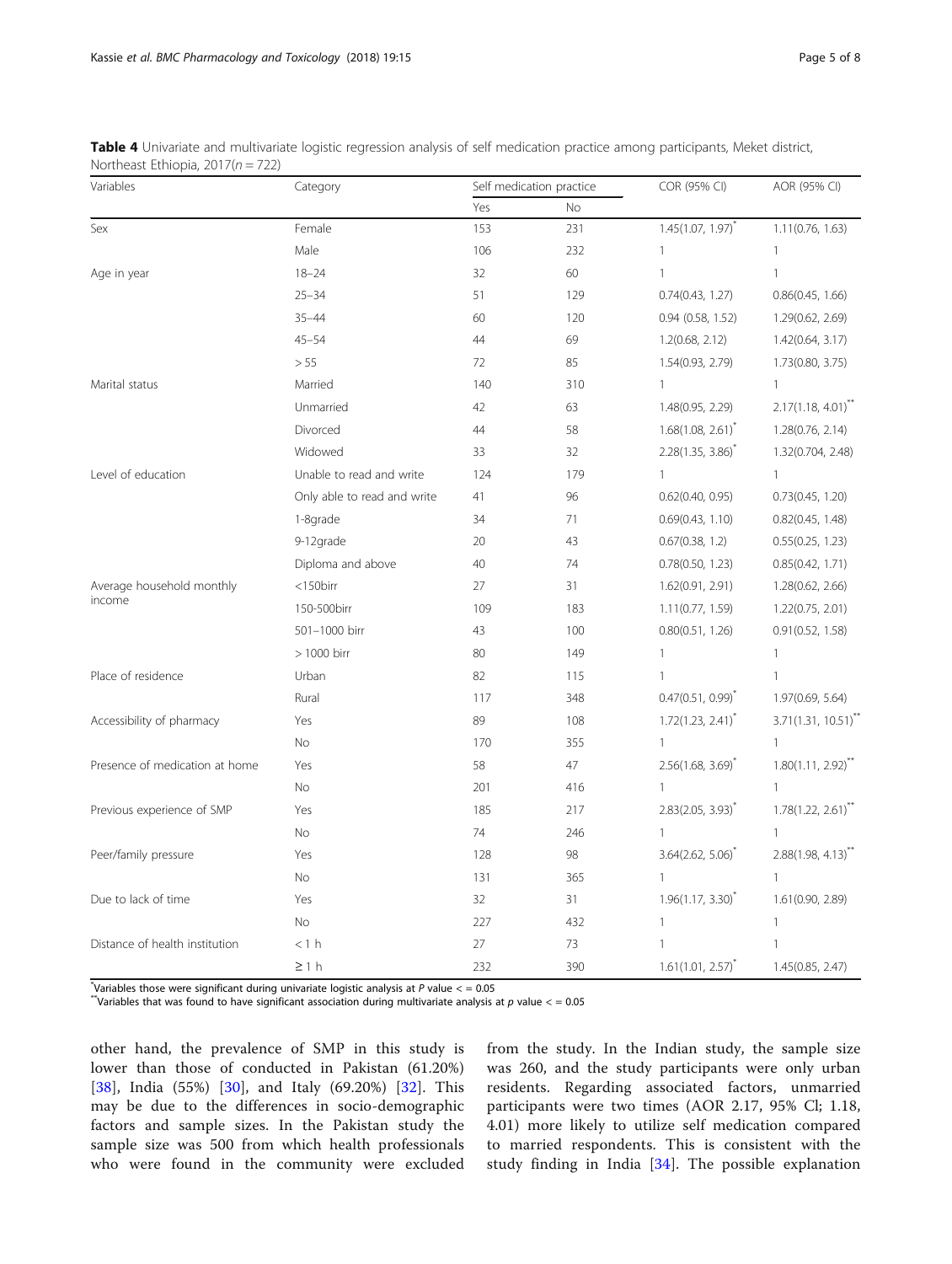| Variables                      | Category                    | Self medication practice |     | COR (95% CI)                    | AOR (95% CI)             |
|--------------------------------|-----------------------------|--------------------------|-----|---------------------------------|--------------------------|
|                                |                             | Yes                      | No  |                                 |                          |
| Sex                            | Female                      | 153                      | 231 | $1.45(1.07, 1.97)^{*}$          | 1.11(0.76, 1.63)         |
|                                | Male                        | 106                      | 232 | 1                               | 1                        |
| Age in year                    | $18 - 24$                   | 32                       | 60  | $\mathbf{1}$                    | $\mathbf{1}$             |
|                                | $25 - 34$                   | 51                       | 129 | 0.74(0.43, 1.27)                | 0.86(0.45, 1.66)         |
|                                | $35 - 44$                   | 60                       | 120 | $0.94$ (0.58, 1.52)             | 1.29(0.62, 2.69)         |
|                                | $45 - 54$                   | 44                       | 69  | 1.2(0.68, 2.12)                 | 1.42(0.64, 3.17)         |
|                                | > 55                        | 72                       | 85  | 1.54(0.93, 2.79)                | 1.73(0.80, 3.75)         |
| Marital status                 | Married                     | 140                      | 310 | $\mathbf{1}$                    | $\mathbf{1}$             |
|                                | Unmarried                   | 42                       | 63  | 1.48(0.95, 2.29)                | $2.17(1.18, 4.01)^{4}$   |
|                                | Divorced                    | 44                       | 58  | $1.68(1.08, 2.61)^{*}$          | 1.28(0.76, 2.14)         |
|                                | Widowed                     | 33                       | 32  | $2.28(1.35, 3.86)^{*}$          | 1.32(0.704, 2.48)        |
| Level of education             | Unable to read and write    | 124                      | 179 | $\mathbf{1}$                    | $\mathbf{1}$             |
|                                | Only able to read and write | 41                       | 96  | 0.62(0.40, 0.95)                | 0.73(0.45, 1.20)         |
|                                | 1-8grade                    | 34                       | 71  | 0.69(0.43, 1.10)                | 0.82(0.45, 1.48)         |
|                                | 9-12grade                   | 20                       | 43  | 0.67(0.38, 1.2)                 | 0.55(0.25, 1.23)         |
|                                | Diploma and above           | 40                       | 74  | 0.78(0.50, 1.23)                | 0.85(0.42, 1.71)         |
| Average household monthly      | $<$ 150 $bin$               | 27                       | 31  | 1.62(0.91, 2.91)                | 1.28(0.62, 2.66)         |
| income                         | 150-500birr                 | 109                      | 183 | 1.11(0.77, 1.59)                | 1.22(0.75, 2.01)         |
|                                | 501-1000 birr               | 43                       | 100 | 0.80(0.51, 1.26)                | 0.91(0.52, 1.58)         |
|                                | > 1000 birr                 | 80                       | 149 | $\mathbf{1}$                    | $\mathbf{1}$             |
| Place of residence             | Urban                       | 82                       | 115 | $\mathbf{1}$                    | $\mathbf{1}$             |
|                                | Rural                       | 117                      | 348 | $0.47(0.51, 0.99)^{*}$          | 1.97(0.69, 5.64)         |
| Accessibility of pharmacy      | Yes                         | 89                       | 108 | $1.72(1.23, 2.41)^{*}$          | $3.71(1.31, 10.51)^{44}$ |
|                                | No                          | 170                      | 355 | $\mathbf{1}$                    | $\mathbf{1}$             |
| Presence of medication at home | Yes                         | 58                       | 47  | $2.56(1.68, 3.69)^{*}$          | $1.80(1.11, 2.92)$ **    |
|                                | <b>No</b>                   | 201                      | 416 | $\mathbf{1}$                    | $\mathbf{1}$             |
| Previous experience of SMP     | Yes                         | 185                      | 217 | $2.83(2.05, 3.93)^{*}$          | $1.78(1.22, 2.61)$ **    |
|                                | No                          | 74                       | 246 | $\mathbf{1}$                    | $\mathbf{1}$             |
| Peer/family pressure           | Yes                         | 128                      | 98  | $3.64(2.62, 5.06)^{*}$          | $2.88(1.98, 4.13)$ **    |
|                                | No                          | 131                      | 365 | $\mathbf{1}$                    | $\mathbf{1}$             |
| Due to lack of time            | Yes                         | 32                       | 31  | $1.96(1.17, 3.30)^{*}$          | 1.61(0.90, 2.89)         |
|                                | No                          | 227                      | 432 | $\mathbf{1}$                    | $\mathbf{1}$             |
| Distance of health institution | < 1 h                       | 27                       | 73  | $\mathbf{1}$                    | 1                        |
|                                | $\geq$ 1 h                  | 232                      | 390 | $1.61(1.01, 2.57)$ <sup>*</sup> | 1.45(0.85, 2.47)         |

<span id="page-4-0"></span>Table 4 Univariate and multivariate logistic regression analysis of self medication practice among participants, Meket district, Northeast Ethiopia,  $2017(n = 722)$ 

\*Variables those were significant during univariate logistic analysis at P value  $\lt$  = 0.05

\*\*Variables that was found to have significant association during multivariate analysis at p value  $\lt$  = 0.05

other hand, the prevalence of SMP in this study is lower than those of conducted in Pakistan (61.20%) [[38\]](#page-6-0), India (55%) [\[30](#page-6-0)], and Italy (69.20%) [[32](#page-6-0)]. This may be due to the differences in socio-demographic factors and sample sizes. In the Pakistan study the sample size was 500 from which health professionals who were found in the community were excluded from the study. In the Indian study, the sample size was 260, and the study participants were only urban residents. Regarding associated factors, unmarried participants were two times (AOR 2.17, 95% Cl; 1.18, 4.01) more likely to utilize self medication compared to married respondents. This is consistent with the study finding in India [[34\]](#page-6-0). The possible explanation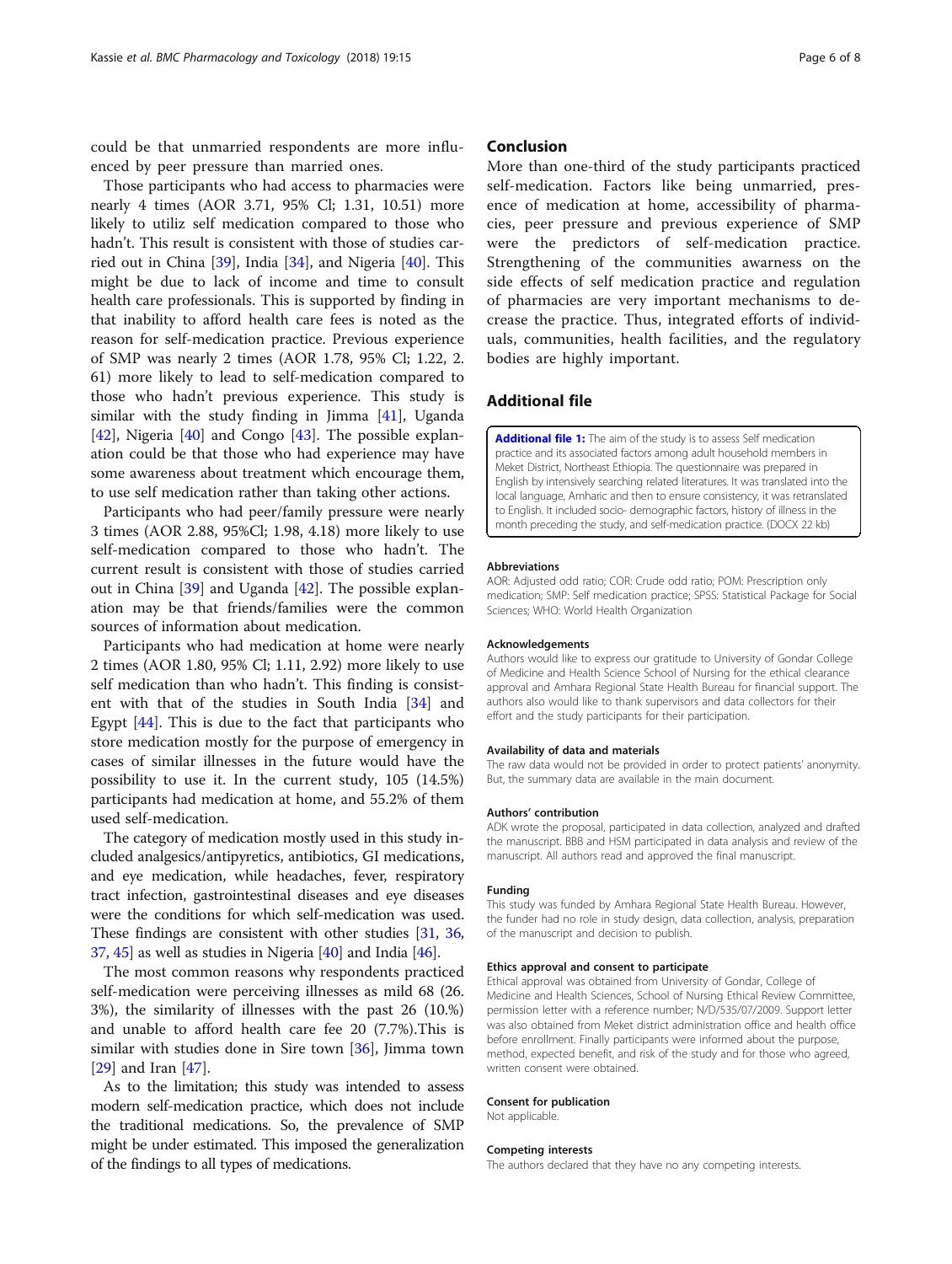<span id="page-5-0"></span>could be that unmarried respondents are more influenced by peer pressure than married ones.

Those participants who had access to pharmacies were nearly 4 times (AOR 3.71, 95% Cl; 1.31, 10.51) more likely to utiliz self medication compared to those who hadn't. This result is consistent with those of studies carried out in China [[39\]](#page-6-0), India [[34\]](#page-6-0), and Nigeria [[40\]](#page-6-0). This might be due to lack of income and time to consult health care professionals. This is supported by finding in that inability to afford health care fees is noted as the reason for self-medication practice. Previous experience of SMP was nearly 2 times (AOR 1.78, 95% Cl; 1.22, 2. 61) more likely to lead to self-medication compared to those who hadn't previous experience. This study is similar with the study finding in Jimma [\[41\]](#page-6-0), Uganda [[42\]](#page-6-0), Nigeria [\[40](#page-6-0)] and Congo [\[43\]](#page-6-0). The possible explanation could be that those who had experience may have some awareness about treatment which encourage them, to use self medication rather than taking other actions.

Participants who had peer/family pressure were nearly 3 times (AOR 2.88, 95%Cl; 1.98, 4.18) more likely to use self-medication compared to those who hadn't. The current result is consistent with those of studies carried out in China [\[39](#page-6-0)] and Uganda [[42\]](#page-6-0). The possible explanation may be that friends/families were the common sources of information about medication.

Participants who had medication at home were nearly 2 times (AOR 1.80, 95% Cl; 1.11, 2.92) more likely to use self medication than who hadn't. This finding is consistent with that of the studies in South India [\[34\]](#page-6-0) and Egypt [\[44](#page-6-0)]. This is due to the fact that participants who store medication mostly for the purpose of emergency in cases of similar illnesses in the future would have the possibility to use it. In the current study, 105 (14.5%) participants had medication at home, and 55.2% of them used self-medication.

The category of medication mostly used in this study included analgesics/antipyretics, antibiotics, GI medications, and eye medication, while headaches, fever, respiratory tract infection, gastrointestinal diseases and eye diseases were the conditions for which self-medication was used. These findings are consistent with other studies [\[31,](#page-6-0) [36](#page-6-0), [37](#page-6-0), [45\]](#page-7-0) as well as studies in Nigeria [\[40\]](#page-6-0) and India [\[46\]](#page-7-0).

The most common reasons why respondents practiced self-medication were perceiving illnesses as mild 68 (26. 3%), the similarity of illnesses with the past 26 (10.%) and unable to afford health care fee 20 (7.7%).This is similar with studies done in Sire town [[36\]](#page-6-0), Jimma town [[29\]](#page-6-0) and Iran [[47](#page-7-0)].

As to the limitation; this study was intended to assess modern self-medication practice, which does not include the traditional medications. So, the prevalence of SMP might be under estimated. This imposed the generalization of the findings to all types of medications.

#### Conclusion

More than one-third of the study participants practiced self-medication. Factors like being unmarried, presence of medication at home, accessibility of pharmacies, peer pressure and previous experience of SMP were the predictors of self-medication practice. Strengthening of the communities awarness on the side effects of self medication practice and regulation of pharmacies are very important mechanisms to decrease the practice. Thus, integrated efforts of individuals, communities, health facilities, and the regulatory bodies are highly important.

#### Additional file

[Additional file 1:](https://doi.org/10.1186/s40360-018-0205-6) The aim of the study is to assess Self medication practice and its associated factors among adult household members in Meket District, Northeast Ethiopia. The questionnaire was prepared in English by intensively searching related literatures. It was translated into the local language, Amharic and then to ensure consistency, it was retranslated to English. It included socio- demographic factors, history of illness in the month preceding the study, and self-medication practice. (DOCX 22 kb)

#### Abbreviations

AOR: Adjusted odd ratio; COR: Crude odd ratio; POM: Prescription only medication; SMP: Self medication practice; SPSS: Statistical Package for Social Sciences; WHO: World Health Organization

#### Acknowledgements

Authors would like to express our gratitude to University of Gondar College of Medicine and Health Science School of Nursing for the ethical clearance approval and Amhara Regional State Health Bureau for financial support. The authors also would like to thank supervisors and data collectors for their effort and the study participants for their participation.

#### Availability of data and materials

The raw data would not be provided in order to protect patients' anonymity. But, the summary data are available in the main document.

#### Authors' contribution

ADK wrote the proposal, participated in data collection, analyzed and drafted the manuscript. BBB and HSM participated in data analysis and review of the manuscript. All authors read and approved the final manuscript.

#### Funding

This study was funded by Amhara Regional State Health Bureau. However, the funder had no role in study design, data collection, analysis, preparation of the manuscript and decision to publish.

#### Ethics approval and consent to participate

Ethical approval was obtained from University of Gondar, College of Medicine and Health Sciences, School of Nursing Ethical Review Committee, permission letter with a reference number; N/D/535/07/2009. Support letter was also obtained from Meket district administration office and health office before enrollment. Finally participants were informed about the purpose, method, expected benefit, and risk of the study and for those who agreed, written consent were obtained.

#### Consent for publication

Not applicable.

#### Competing interests

The authors declared that they have no any competing interests.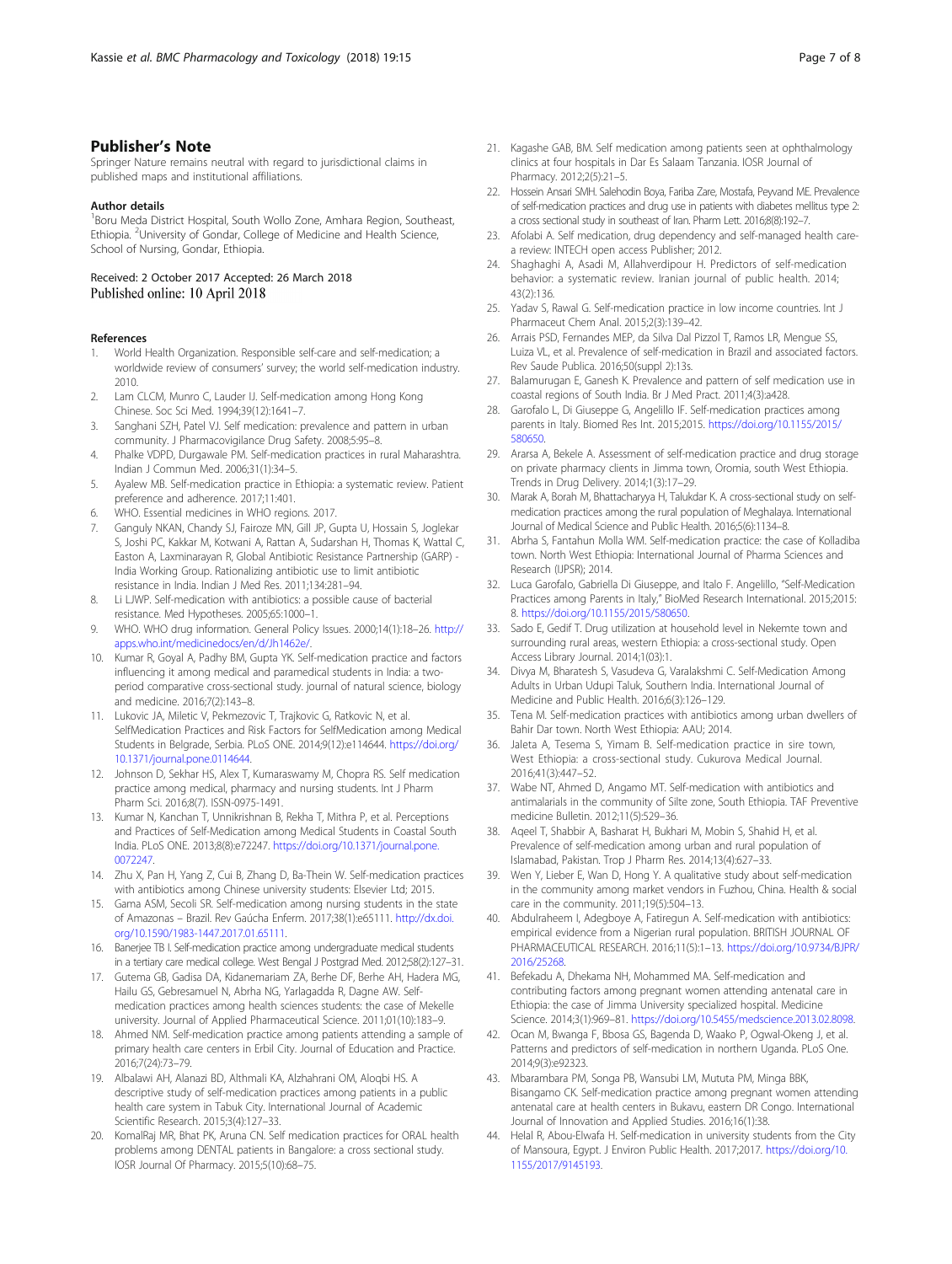#### <span id="page-6-0"></span>Publisher's Note

Springer Nature remains neutral with regard to jurisdictional claims in published maps and institutional affiliations.

#### Author details

<sup>1</sup> Boru Meda District Hospital, South Wollo Zone, Amhara Region, Southeast, Ethiopia. <sup>2</sup>University of Gondar, College of Medicine and Health Science, School of Nursing, Gondar, Ethiopia.

#### Received: 2 October 2017 Accepted: 26 March 2018 Published online: 10 April 2018

#### References

- 1. World Health Organization. Responsible self-care and self-medication; a worldwide review of consumers' survey; the world self-medication industry. 2010.
- 2. Lam CLCM, Munro C, Lauder IJ. Self-medication among Hong Kong Chinese. Soc Sci Med. 1994;39(12):1641–7.
- 3. Sanghani SZH, Patel VJ. Self medication: prevalence and pattern in urban community. J Pharmacovigilance Drug Safety. 2008;5:95–8.
- 4. Phalke VDPD, Durgawale PM. Self-medication practices in rural Maharashtra. Indian J Commun Med. 2006;31(1):34–5.
- 5. Ayalew MB. Self-medication practice in Ethiopia: a systematic review. Patient preference and adherence. 2017;11:401.
- 6. WHO. Essential medicines in WHO regions. 2017.
- 7. Ganguly NKAN, Chandy SJ, Fairoze MN, Gill JP, Gupta U, Hossain S, Joglekar S, Joshi PC, Kakkar M, Kotwani A, Rattan A, Sudarshan H, Thomas K, Wattal C, Easton A, Laxminarayan R, Global Antibiotic Resistance Partnership (GARP) - India Working Group. Rationalizing antibiotic use to limit antibiotic resistance in India. Indian J Med Res. 2011;134:281–94.
- 8. Li LJWP. Self-medication with antibiotics: a possible cause of bacterial resistance. Med Hypotheses. 2005;65:1000–1.
- 9. WHO. WHO drug information. General Policy Issues. 2000;14(1):18-26. [http://](http://apps.who.int/medicinedocs/en/d/Jh1462e/) [apps.who.int/medicinedocs/en/d/Jh1462e/.](http://apps.who.int/medicinedocs/en/d/Jh1462e/)
- 10. Kumar R, Goyal A, Padhy BM, Gupta YK. Self-medication practice and factors influencing it among medical and paramedical students in India: a twoperiod comparative cross-sectional study. journal of natural science, biology and medicine. 2016;7(2):143–8.
- 11. Lukovic JA, Miletic V, Pekmezovic T, Trajkovic G, Ratkovic N, et al. SelfMedication Practices and Risk Factors for SelfMedication among Medical Students in Belgrade, Serbia. PLoS ONE. 2014;9(12):e114644. [https://doi.org/](https://doi.org/10.1371/journal.pone.0114644) [10.1371/journal.pone.0114644](https://doi.org/10.1371/journal.pone.0114644).
- 12. Johnson D, Sekhar HS, Alex T, Kumaraswamy M, Chopra RS. Self medication practice among medical, pharmacy and nursing students. Int J Pharm Pharm Sci. 2016;8(7). ISSN-0975-1491.
- 13. Kumar N, Kanchan T, Unnikrishnan B, Rekha T, Mithra P, et al. Perceptions and Practices of Self-Medication among Medical Students in Coastal South India. PLoS ONE. 2013;8(8):e72247. [https://doi.org/10.1371/journal.pone.](https://doi.org/10.1371/journal.pone.0072247) [0072247.](https://doi.org/10.1371/journal.pone.0072247)
- 14. Zhu X, Pan H, Yang Z, Cui B, Zhang D, Ba-Thein W. Self-medication practices with antibiotics among Chinese university students: Elsevier Ltd; 2015.
- 15. Gama ASM, Secoli SR. Self-medication among nursing students in the state of Amazonas – Brazil. Rev Gaúcha Enferm. 2017;38(1):e65111. [http://dx.doi.](http://dx.doi.org/10.1590/1983-1447.2017.01.65111) [org/10.1590/1983-1447.2017.01.65111](http://dx.doi.org/10.1590/1983-1447.2017.01.65111).
- 16. Banerjee TB I. Self-medication practice among undergraduate medical students in a tertiary care medical college. West Bengal J Postgrad Med. 2012;58(2):127–31.
- 17. Gutema GB, Gadisa DA, Kidanemariam ZA, Berhe DF, Berhe AH, Hadera MG, Hailu GS, Gebresamuel N, Abrha NG, Yarlagadda R, Dagne AW. Selfmedication practices among health sciences students: the case of Mekelle university. Journal of Applied Pharmaceutical Science. 2011;01(10):183–9.
- 18. Ahmed NM. Self-medication practice among patients attending a sample of primary health care centers in Erbil City. Journal of Education and Practice. 2016;7(24):73–79.
- 19. Albalawi AH, Alanazi BD, Althmali KA, Alzhahrani OM, Aloqbi HS. A descriptive study of self-medication practices among patients in a public health care system in Tabuk City. International Journal of Academic Scientific Research. 2015;3(4):127–33.
- 20. KomalRaj MR, Bhat PK, Aruna CN. Self medication practices for ORAL health problems among DENTAL patients in Bangalore: a cross sectional study. IOSR Journal Of Pharmacy. 2015;5(10):68–75.
- 21. Kagashe GAB, BM. Self medication among patients seen at ophthalmology
- clinics at four hospitals in Dar Es Salaam Tanzania. IOSR Journal of Pharmacy. 2012;2(5):21–5.
- 22. Hossein Ansari SMH. Salehodin Boya, Fariba Zare, Mostafa, Peyvand ME. Prevalence of self-medication practices and drug use in patients with diabetes mellitus type 2: a cross sectional study in southeast of Iran. Pharm Lett. 2016;8(8):192–7.
- 23. Afolabi A. Self medication, drug dependency and self-managed health carea review: INTECH open access Publisher; 2012.
- 24. Shaghaghi A, Asadi M, Allahverdipour H. Predictors of self-medication behavior: a systematic review. Iranian journal of public health. 2014; 43(2):136.
- 25. Yadav S, Rawal G. Self-medication practice in low income countries. Int J Pharmaceut Chem Anal. 2015;2(3):139–42.
- 26. Arrais PSD, Fernandes MEP, da Silva Dal Pizzol T, Ramos LR, Mengue SS, Luiza VL, et al. Prevalence of self-medication in Brazil and associated factors. Rev Saude Publica. 2016;50(suppl 2):13s.
- 27. Balamurugan E, Ganesh K. Prevalence and pattern of self medication use in coastal regions of South India. Br J Med Pract. 2011;4(3):a428.
- 28. Garofalo L, Di Giuseppe G, Angelillo IF. Self-medication practices among parents in Italy. Biomed Res Int. 2015;2015. [https://doi.org/10.1155/2015/](https://doi.org/10.1155/2015/580650) [580650](https://doi.org/10.1155/2015/580650).
- 29. Ararsa A, Bekele A. Assessment of self-medication practice and drug storage on private pharmacy clients in Jimma town, Oromia, south West Ethiopia. Trends in Drug Delivery. 2014;1(3):17–29.
- 30. Marak A, Borah M, Bhattacharyya H, Talukdar K. A cross-sectional study on selfmedication practices among the rural population of Meghalaya. International Journal of Medical Science and Public Health. 2016;5(6):1134–8.
- 31. Abrha S, Fantahun Molla WM. Self-medication practice: the case of Kolladiba town. North West Ethiopia: International Journal of Pharma Sciences and Research (IJPSR); 2014.
- 32. Luca Garofalo, Gabriella Di Giuseppe, and Italo F. Angelillo, "Self-Medication Practices among Parents in Italy," BioMed Research International. 2015;2015: 8. <https://doi.org/10.1155/2015/580650>.
- 33. Sado E, Gedif T. Drug utilization at household level in Nekemte town and surrounding rural areas, western Ethiopia: a cross-sectional study. Open Access Library Journal. 2014;1(03):1.
- 34. Divya M, Bharatesh S, Vasudeva G, Varalakshmi C. Self-Medication Among Adults in Urban Udupi Taluk, Southern India. International Journal of Medicine and Public Health. 2016;6(3):126–129.
- 35. Tena M. Self-medication practices with antibiotics among urban dwellers of Bahir Dar town. North West Ethiopia: AAU; 2014.
- 36. Jaleta A, Tesema S, Yimam B. Self-medication practice in sire town, West Ethiopia: a cross-sectional study. Cukurova Medical Journal. 2016;41(3):447–52.
- 37. Wabe NT, Ahmed D, Angamo MT. Self-medication with antibiotics and antimalarials in the community of Silte zone, South Ethiopia. TAF Preventive medicine Bulletin. 2012;11(5):529–36.
- 38. Aqeel T, Shabbir A, Basharat H, Bukhari M, Mobin S, Shahid H, et al. Prevalence of self-medication among urban and rural population of Islamabad, Pakistan. Trop J Pharm Res. 2014;13(4):627–33.
- 39. Wen Y, Lieber E, Wan D, Hong Y. A qualitative study about self-medication in the community among market vendors in Fuzhou, China. Health & social care in the community. 2011;19(5):504–13.
- 40. Abdulraheem I, Adegboye A, Fatiregun A. Self-medication with antibiotics: empirical evidence from a Nigerian rural population. BRITISH JOURNAL OF PHARMACEUTICAL RESEARCH. 2016;11(5):1–13. [https://doi.org/10.9734/BJPR/](https://doi.org/10.9734/BJPR/2016/25268) [2016/25268.](https://doi.org/10.9734/BJPR/2016/25268)
- 41. Befekadu A, Dhekama NH, Mohammed MA. Self-medication and contributing factors among pregnant women attending antenatal care in Ethiopia: the case of Jimma University specialized hospital. Medicine Science. 2014;3(1):969–81. <https://doi.org/10.5455/medscience.2013.02.8098>.
- 42. Ocan M, Bwanga F, Bbosa GS, Bagenda D, Waako P, Ogwal-Okeng J, et al. Patterns and predictors of self-medication in northern Uganda. PLoS One. 2014;9(3):e92323.
- 43. Mbarambara PM, Songa PB, Wansubi LM, Mututa PM, Minga BBK, Bisangamo CK. Self-medication practice among pregnant women attending antenatal care at health centers in Bukavu, eastern DR Congo. International Journal of Innovation and Applied Studies. 2016;16(1):38.
- 44. Helal R, Abou-Elwafa H. Self-medication in university students from the City of Mansoura, Egypt. J Environ Public Health. 2017;2017. [https://doi.org/10.](https://doi.org/10.1155/2017/9145193) [1155/2017/9145193.](https://doi.org/10.1155/2017/9145193)